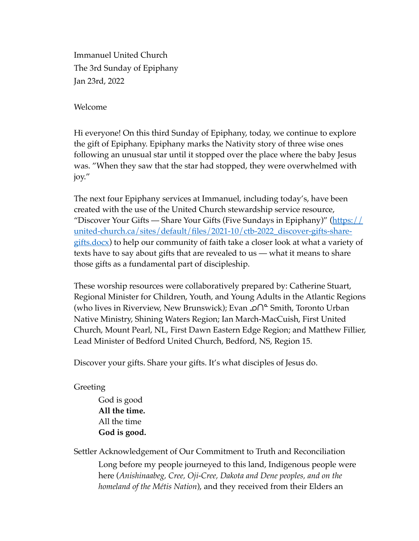Immanuel United Church The 3rd Sunday of Epiphany Jan 23rd, 2022

Welcome

Hi everyone! On this third Sunday of Epiphany, today, we continue to explore the gift of Epiphany. Epiphany marks the Nativity story of three wise ones following an unusual star until it stopped over the place where the baby Jesus was. "When they saw that the star had stopped, they were overwhelmed with joy."

The next four Epiphany services at Immanuel, including today's, have been created with the use of the United Church stewardship service resource, "Discover Your Gifts — Share Your Gifts (Five Sundays in Epiphany)" ( $\frac{https://}{https://}$ [united-church.ca/sites/default/files/2021-10/ctb-2022\\_discover-gifts-share](https://united-church.ca/sites/default/files/2021-10/ctb-2022_discover-gifts-share-gifts.docx)[gifts.docx\)](https://united-church.ca/sites/default/files/2021-10/ctb-2022_discover-gifts-share-gifts.docx) to help our community of faith take a closer look at what a variety of texts have to say about gifts that are revealed to us — what it means to share those gifts as a fundamental part of discipleship.

These worship resources were collaboratively prepared by: Catherine Stuart, Regional Minister for Children, Youth, and Young Adults in the Atlantic Regions (who lives in Riverview, New Brunswick); Evan **∩**<sup>≏</sup> Smith, Toronto Urban Native Ministry, Shining Waters Region; Ian March-MacCuish, First United Church, Mount Pearl, NL, First Dawn Eastern Edge Region; and Matthew Fillier, Lead Minister of Bedford United Church, Bedford, NS, Region 15.

Discover your gifts. Share your gifts. It's what disciples of Jesus do.

Greeting

God is good **All the time.** All the time **God is good.**

Settler Acknowledgement of Our Commitment to Truth and Reconciliation Long before my people journeyed to this land, Indigenous people were here (*Anishinaabeg, Cree, Oji-Cree, Dakota and Dene peoples, and on the homeland of the Métis Nation*), and they received from their Elders an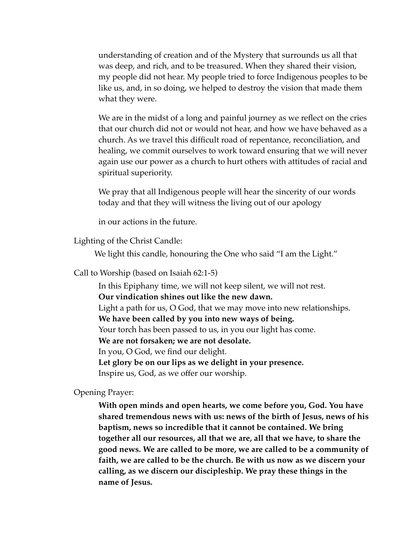understanding of creation and of the Mystery that surrounds us all that was deep, and rich, and to be treasured. When they shared their vision, my people did not hear. My people tried to force Indigenous peoples to be like us, and, in so doing, we helped to destroy the vision that made them what they were.

We are in the midst of a long and painful journey as we reflect on the cries that our church did not or would not hear, and how we have behaved as a church. As we travel this difficult road of repentance, reconciliation, and healing, we commit ourselves to work toward ensuring that we will never again use our power as a church to hurt others with attitudes of racial and spiritual superiority.

We pray that all Indigenous people will hear the sincerity of our words today and that they will witness the living out of our apology

in our actions in the future.

Lighting of the Christ Candle:

We light this candle, honouring the One who said "I am the Light."

Call to Worship (based on Isaiah 62:1-5)

In this Epiphany time, we will not keep silent, we will not rest. **Our vindication shines out like the new dawn.** Light a path for us, O God, that we may move into new relationships. **We have been called by you into new ways of being.** Your torch has been passed to us, in you our light has come. **We are not forsaken; we are not desolate.** In you, O God, we find our delight. **Let glory be on our lips as we delight in your presence.** Inspire us, God, as we offer our worship.

Opening Prayer:

**With open minds and open hearts, we come before you, God. You have shared tremendous news with us: news of the birth of Jesus, news of his baptism, news so incredible that it cannot be contained. We bring together all our resources, all that we are, all that we have, to share the good news. We are called to be more, we are called to be a community of faith, we are called to be the church. Be with us now as we discern your calling, as we discern our discipleship. We pray these things in the name of Jesus.**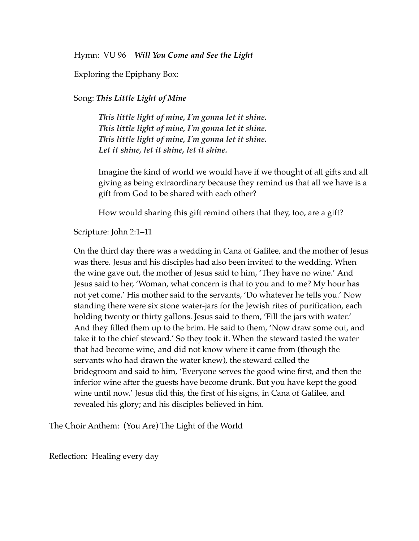Hymn: VU 96 *Will You Come and See the Light*

Exploring the Epiphany Box:

## Song: *This Little Light of Mine*

*This little light of mine, I'm gonna let it shine. This little light of mine, I'm gonna let it shine. This little light of mine, I'm gonna let it shine. Let it shine, let it shine, let it shine.*

Imagine the kind of world we would have if we thought of all gifts and all giving as being extraordinary because they remind us that all we have is a gift from God to be shared with each other?

How would sharing this gift remind others that they, too, are a gift?

Scripture: John 2:1–11

On the third day there was a wedding in Cana of Galilee, and the mother of Jesus was there. Jesus and his disciples had also been invited to the wedding. When the wine gave out, the mother of Jesus said to him, 'They have no wine.' And Jesus said to her, 'Woman, what concern is that to you and to me? My hour has not yet come.' His mother said to the servants, 'Do whatever he tells you.' Now standing there were six stone water-jars for the Jewish rites of purification, each holding twenty or thirty gallons. Jesus said to them, 'Fill the jars with water.' And they filled them up to the brim. He said to them, 'Now draw some out, and take it to the chief steward.' So they took it. When the steward tasted the water that had become wine, and did not know where it came from (though the servants who had drawn the water knew), the steward called the bridegroom and said to him, 'Everyone serves the good wine first, and then the inferior wine after the guests have become drunk. But you have kept the good wine until now.' Jesus did this, the first of his signs, in Cana of Galilee, and revealed his glory; and his disciples believed in him.

The Choir Anthem: (You Are) The Light of the World

Reflection: Healing every day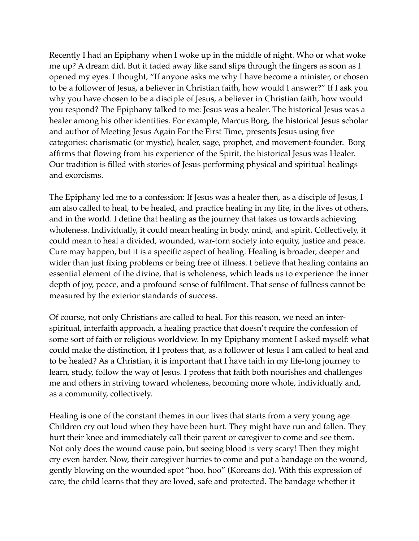Recently I had an Epiphany when I woke up in the middle of night. Who or what woke me up? A dream did. But it faded away like sand slips through the fingers as soon as I opened my eyes. I thought, "If anyone asks me why I have become a minister, or chosen to be a follower of Jesus, a believer in Christian faith, how would I answer?" If I ask you why you have chosen to be a disciple of Jesus, a believer in Christian faith, how would you respond? The Epiphany talked to me: Jesus was a healer. The historical Jesus was a healer among his other identities. For example, Marcus Borg, the historical Jesus scholar and author of Meeting Jesus Again For the First Time, presents Jesus using five categories: charismatic (or mystic), healer, sage, prophet, and movement-founder. Borg affirms that flowing from his experience of the Spirit, the historical Jesus was Healer. Our tradition is filled with stories of Jesus performing physical and spiritual healings and exorcisms.

The Epiphany led me to a confession: If Jesus was a healer then, as a disciple of Jesus, I am also called to heal, to be healed, and practice healing in my life, in the lives of others, and in the world. I define that healing as the journey that takes us towards achieving wholeness. Individually, it could mean healing in body, mind, and spirit. Collectively, it could mean to heal a divided, wounded, war-torn society into equity, justice and peace. Cure may happen, but it is a specific aspect of healing. Healing is broader, deeper and wider than just fixing problems or being free of illness. I believe that healing contains an essential element of the divine, that is wholeness, which leads us to experience the inner depth of joy, peace, and a profound sense of fulfilment. That sense of fullness cannot be measured by the exterior standards of success.

Of course, not only Christians are called to heal. For this reason, we need an interspiritual, interfaith approach, a healing practice that doesn't require the confession of some sort of faith or religious worldview. In my Epiphany moment I asked myself: what could make the distinction, if I profess that, as a follower of Jesus I am called to heal and to be healed? As a Christian, it is important that I have faith in my life-long journey to learn, study, follow the way of Jesus. I profess that faith both nourishes and challenges me and others in striving toward wholeness, becoming more whole, individually and, as a community, collectively.

Healing is one of the constant themes in our lives that starts from a very young age. Children cry out loud when they have been hurt. They might have run and fallen. They hurt their knee and immediately call their parent or caregiver to come and see them. Not only does the wound cause pain, but seeing blood is very scary! Then they might cry even harder. Now, their caregiver hurries to come and put a bandage on the wound, gently blowing on the wounded spot "hoo, hoo" (Koreans do). With this expression of care, the child learns that they are loved, safe and protected. The bandage whether it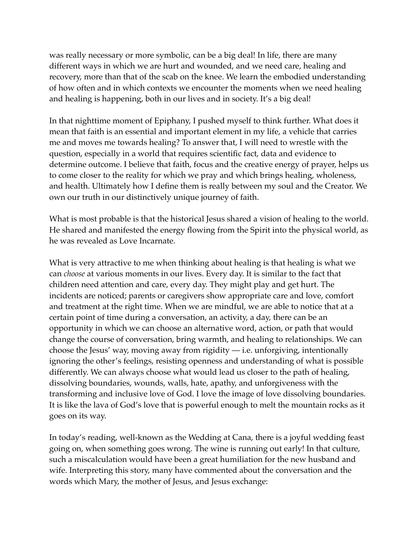was really necessary or more symbolic, can be a big deal! In life, there are many different ways in which we are hurt and wounded, and we need care, healing and recovery, more than that of the scab on the knee. We learn the embodied understanding of how often and in which contexts we encounter the moments when we need healing and healing is happening, both in our lives and in society. It's a big deal!

In that nighttime moment of Epiphany, I pushed myself to think further. What does it mean that faith is an essential and important element in my life, a vehicle that carries me and moves me towards healing? To answer that, I will need to wrestle with the question, especially in a world that requires scientific fact, data and evidence to determine outcome. I believe that faith, focus and the creative energy of prayer, helps us to come closer to the reality for which we pray and which brings healing, wholeness, and health. Ultimately how I define them is really between my soul and the Creator. We own our truth in our distinctively unique journey of faith.

What is most probable is that the historical Jesus shared a vision of healing to the world. He shared and manifested the energy flowing from the Spirit into the physical world, as he was revealed as Love Incarnate.

What is very attractive to me when thinking about healing is that healing is what we can *choose* at various moments in our lives. Every day. It is similar to the fact that children need attention and care, every day. They might play and get hurt. The incidents are noticed; parents or caregivers show appropriate care and love, comfort and treatment at the right time. When we are mindful, we are able to notice that at a certain point of time during a conversation, an activity, a day, there can be an opportunity in which we can choose an alternative word, action, or path that would change the course of conversation, bring warmth, and healing to relationships. We can choose the Jesus' way, moving away from rigidity — i.e. unforgiving, intentionally ignoring the other's feelings, resisting openness and understanding of what is possible differently. We can always choose what would lead us closer to the path of healing, dissolving boundaries, wounds, walls, hate, apathy, and unforgiveness with the transforming and inclusive love of God. I love the image of love dissolving boundaries. It is like the lava of God's love that is powerful enough to melt the mountain rocks as it goes on its way.

In today's reading, well-known as the Wedding at Cana, there is a joyful wedding feast going on, when something goes wrong. The wine is running out early! In that culture, such a miscalculation would have been a great humiliation for the new husband and wife. Interpreting this story, many have commented about the conversation and the words which Mary, the mother of Jesus, and Jesus exchange: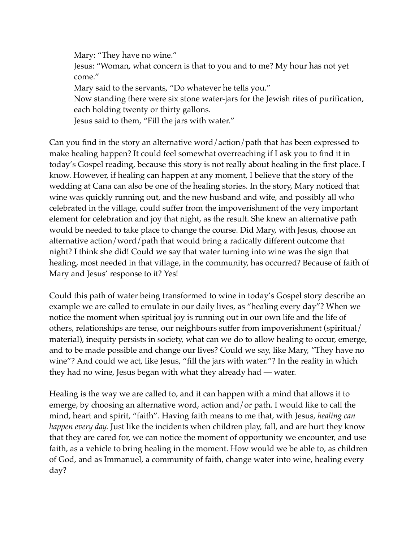Mary: "They have no wine." Jesus: "Woman, what concern is that to you and to me? My hour has not yet come." Mary said to the servants, "Do whatever he tells you." Now standing there were six stone water-jars for the Jewish rites of purification, each holding twenty or thirty gallons. Jesus said to them, "Fill the jars with water."

Can you find in the story an alternative word/action/path that has been expressed to make healing happen? It could feel somewhat overreaching if I ask you to find it in today's Gospel reading, because this story is not really about healing in the first place. I know. However, if healing can happen at any moment, I believe that the story of the wedding at Cana can also be one of the healing stories. In the story, Mary noticed that wine was quickly running out, and the new husband and wife, and possibly all who celebrated in the village, could suffer from the impoverishment of the very important element for celebration and joy that night, as the result. She knew an alternative path would be needed to take place to change the course. Did Mary, with Jesus, choose an alternative action/word/path that would bring a radically different outcome that night? I think she did! Could we say that water turning into wine was the sign that healing, most needed in that village, in the community, has occurred? Because of faith of Mary and Jesus' response to it? Yes!

Could this path of water being transformed to wine in today's Gospel story describe an example we are called to emulate in our daily lives, as "healing every day"? When we notice the moment when spiritual joy is running out in our own life and the life of others, relationships are tense, our neighbours suffer from impoverishment (spiritual/ material), inequity persists in society, what can we do to allow healing to occur, emerge, and to be made possible and change our lives? Could we say, like Mary, "They have no wine"? And could we act, like Jesus, "fill the jars with water."? In the reality in which they had no wine, Jesus began with what they already had — water.

Healing is the way we are called to, and it can happen with a mind that allows it to emerge, by choosing an alternative word, action and/or path. I would like to call the mind, heart and spirit, "faith". Having faith means to me that, with Jesus, *healing can happen every day.* Just like the incidents when children play, fall, and are hurt they know that they are cared for, we can notice the moment of opportunity we encounter, and use faith, as a vehicle to bring healing in the moment. How would we be able to, as children of God, and as Immanuel, a community of faith, change water into wine, healing every day?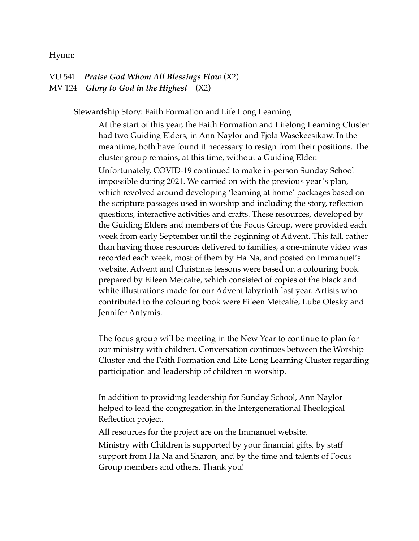## Hymn:

VU 541 *Praise God Whom All Blessings Flow* (X2) MV 124 *Glory to God in the Highest* (X2)

Stewardship Story: Faith Formation and Life Long Learning

At the start of this year, the Faith Formation and Lifelong Learning Cluster had two Guiding Elders, in Ann Naylor and Fjola Wasekeesikaw. In the meantime, both have found it necessary to resign from their positions. The cluster group remains, at this time, without a Guiding Elder. Unfortunately, COVID-19 continued to make in-person Sunday School impossible during 2021. We carried on with the previous year's plan, which revolved around developing 'learning at home' packages based on the scripture passages used in worship and including the story, reflection questions, interactive activities and crafts. These resources, developed by the Guiding Elders and members of the Focus Group, were provided each week from early September until the beginning of Advent. This fall, rather than having those resources delivered to families, a one-minute video was recorded each week, most of them by Ha Na, and posted on Immanuel's website. Advent and Christmas lessons were based on a colouring book prepared by Eileen Metcalfe, which consisted of copies of the black and white illustrations made for our Advent labyrinth last year. Artists who contributed to the colouring book were Eileen Metcalfe, Lube Olesky and Jennifer Antymis.

The focus group will be meeting in the New Year to continue to plan for our ministry with children. Conversation continues between the Worship Cluster and the Faith Formation and Life Long Learning Cluster regarding participation and leadership of children in worship.

In addition to providing leadership for Sunday School, Ann Naylor helped to lead the congregation in the Intergenerational Theological Reflection project.

All resources for the project are on the Immanuel website.

Ministry with Children is supported by your financial gifts, by staff support from Ha Na and Sharon, and by the time and talents of Focus Group members and others. Thank you!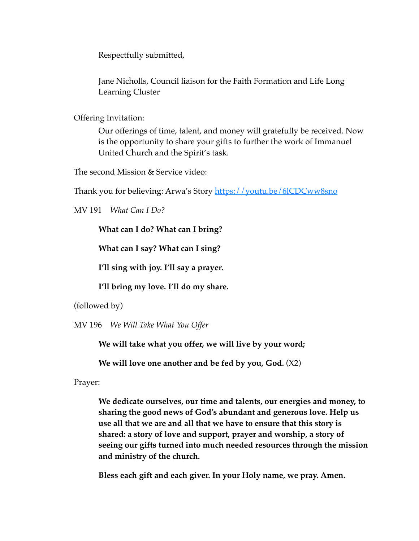Respectfully submitted,

Jane Nicholls, Council liaison for the Faith Formation and Life Long Learning Cluster

Offering Invitation:

Our offerings of time, talent, and money will gratefully be received. Now is the opportunity to share your gifts to further the work of Immanuel United Church and the Spirit's task.

The second Mission & Service video:

Thank you for believing: Arwa's Story <https://youtu.be/6lCDCww8sno>

MV 191 *What Can I Do?* 

**What can I do? What can I bring?**

**What can I say? What can I sing?** 

**I'll sing with joy. I'll say a prayer.** 

**I'll bring my love. I'll do my share.** 

(followed by)

MV 196 *We Will Take What You Offer* 

**We will take what you offer, we will live by your word;**

**We will love one another and be fed by you, God.** (X2)

Prayer:

**We dedicate ourselves, our time and talents, our energies and money, to sharing the good news of God's abundant and generous love. Help us use all that we are and all that we have to ensure that this story is shared: a story of love and support, prayer and worship, a story of seeing our gifts turned into much needed resources through the mission and ministry of the church.** 

**Bless each gift and each giver. In your Holy name, we pray. Amen.**